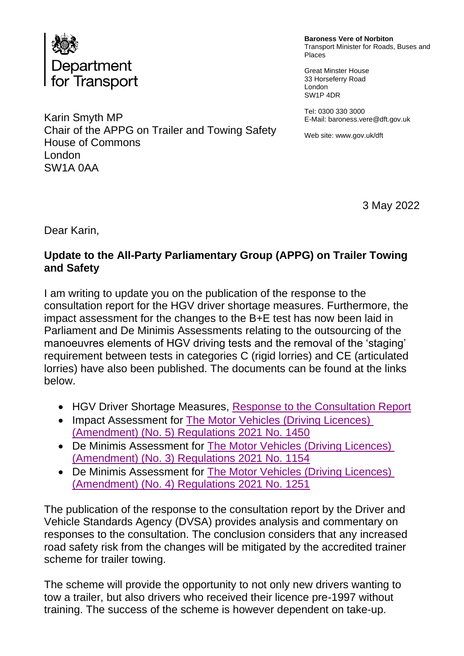

Karin Smyth MP Chair of the APPG on Trailer and Towing Safety House of Commons London SW1A 0AA

**Baroness Vere of Norbiton** Transport Minister for Roads, Buses and Places

Great Minster House 33 Horseferry Road London SW1P 4DR

Tel: 0300 330 3000 E-Mail: baroness.vere@dft.gov.uk

Web site[: www.gov.](http://www.gov/)uk/dft

3 May 2022

Dear Karin,

## **Update to the All-Party Parliamentary Group (APPG) on Trailer Towing and Safety**

I am writing to update you on the publication of the response to the consultation report for the HGV driver shortage measures. Furthermore, the impact assessment for the changes to the B+E test has now been laid in Parliament and De Minimis Assessments relating to the outsourcing of the manoeuvres elements of HGV driving tests and the removal of the 'staging' requirement between tests in categories C (rigid lorries) and CE (articulated lorries) have also been published. The documents can be found at the links below.

- HGV Driver Shortage Measures, [Response to the Consultation Report](https://www.gov.uk/government/consultations/changes-to-hgv-and-bus-driving-tests-and-allowing-car-drivers-to-tow-a-trailer-without-an-extra-test)
- Impact Assessment for The Motor Vehicles (Driving Licences) [\(Amendment\) \(No. 5\) Regulations 2021 No. 1450](http://www.legislation.gov.uk/id/ukia/2021/96)
- De Minimis Assessment for [The Motor Vehicles \(Driving Licences\)](http://www.legislation.gov.uk/id/uksi/2021/1154)  [\(Amendment\) \(No. 3\) Regulations 2021 No. 1154](http://www.legislation.gov.uk/id/uksi/2021/1154)
- De Minimis Assessment for [The Motor Vehicles \(Driving Licences\)](http://www.legislation.gov.uk/id/uksi/2021/1251)  [\(Amendment\) \(No. 4\) Regulations 2021 No. 1251](http://www.legislation.gov.uk/id/uksi/2021/1251)

The publication of the response to the consultation report by the Driver and Vehicle Standards Agency (DVSA) provides analysis and commentary on responses to the consultation. The conclusion considers that any increased road safety risk from the changes will be mitigated by the accredited trainer scheme for trailer towing.

The scheme will provide the opportunity to not only new drivers wanting to tow a trailer, but also drivers who received their licence pre-1997 without training. The success of the scheme is however dependent on take-up.